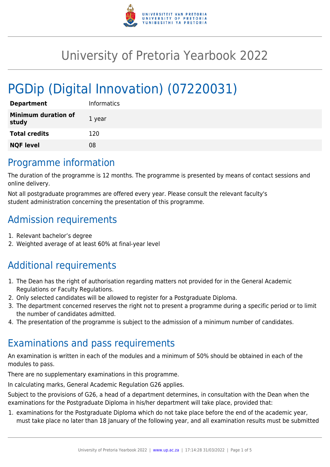

# University of Pretoria Yearbook 2022

# PGDip (Digital Innovation) (07220031)

| <b>Department</b>                   | <b>Informatics</b> |
|-------------------------------------|--------------------|
| <b>Minimum duration of</b><br>study | 1 year             |
| <b>Total credits</b>                | 120                |
| <b>NQF level</b>                    | 08                 |

# Programme information

The duration of the programme is 12 months. The programme is presented by means of contact sessions and online delivery.

Not all postgraduate programmes are offered every year. Please consult the relevant faculty's student administration concerning the presentation of this programme.

# Admission requirements

- 1. Relevant bachelor's degree
- 2. Weighted average of at least 60% at final-year level

# Additional requirements

- 1. The Dean has the right of authorisation regarding matters not provided for in the General Academic Regulations or Faculty Regulations.
- 2. Only selected candidates will be allowed to register for a Postgraduate Diploma.
- 3. The department concerned reserves the right not to present a programme during a specific period or to limit the number of candidates admitted.
- 4. The presentation of the programme is subject to the admission of a minimum number of candidates.

# Examinations and pass requirements

An examination is written in each of the modules and a minimum of 50% should be obtained in each of the modules to pass.

There are no supplementary examinations in this programme.

In calculating marks, General Academic Regulation G26 applies.

Subject to the provisions of G26, a head of a department determines, in consultation with the Dean when the examinations for the Postgraduate Diploma in his/her department will take place, provided that:

1. examinations for the Postgraduate Diploma which do not take place before the end of the academic year, must take place no later than 18 January of the following year, and all examination results must be submitted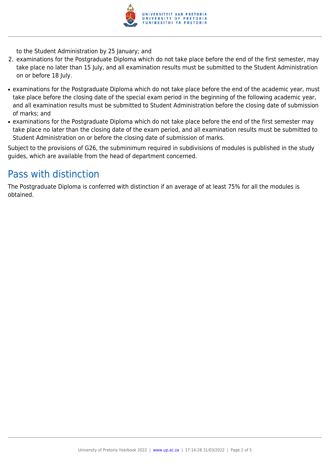

to the Student Administration by 25 January; and

- 2. examinations for the Postgraduate Diploma which do not take place before the end of the first semester, may take place no later than 15 July, and all examination results must be submitted to the Student Administration on or before 18 July.
- examinations for the Postgraduate Diploma which do not take place before the end of the academic year, must take place before the closing date of the special exam period in the beginning of the following academic year, and all examination results must be submitted to Student Administration before the closing date of submission of marks; and
- examinations for the Postgraduate Diploma which do not take place before the end of the first semester may take place no later than the closing date of the exam period, and all examination results must be submitted to Student Administration on or before the closing date of submission of marks.

Subject to the provisions of G26, the subminimum required in subdivisions of modules is published in the study guides, which are available from the head of department concerned.

# Pass with distinction

The Postgraduate Diploma is conferred with distinction if an average of at least 75% for all the modules is obtained.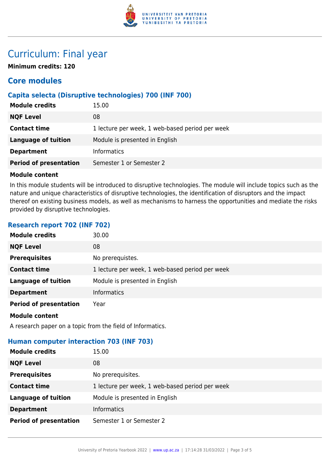

# Curriculum: Final year

**Minimum credits: 120**

# **Core modules**

# **Capita selecta (Disruptive technologies) 700 (INF 700)**

| <b>Module credits</b>         | 15.00                                           |
|-------------------------------|-------------------------------------------------|
| <b>NQF Level</b>              | 08                                              |
| <b>Contact time</b>           | 1 lecture per week, 1 web-based period per week |
| Language of tuition           | Module is presented in English                  |
| <b>Department</b>             | <b>Informatics</b>                              |
| <b>Period of presentation</b> | Semester 1 or Semester 2                        |

### **Module content**

In this module students will be introduced to disruptive technologies. The module will include topics such as the nature and unique characteristics of disruptive technologies, the identification of disruptors and the impact thereof on existing business models, as well as mechanisms to harness the opportunities and mediate the risks provided by disruptive technologies.

# **Research report 702 (INF 702)**

| <b>Module credits</b>         | 30.00                                           |
|-------------------------------|-------------------------------------------------|
| <b>NQF Level</b>              | 08                                              |
| <b>Prerequisites</b>          | No prerequistes.                                |
| <b>Contact time</b>           | 1 lecture per week, 1 web-based period per week |
| <b>Language of tuition</b>    | Module is presented in English                  |
| <b>Department</b>             | <b>Informatics</b>                              |
| <b>Period of presentation</b> | Year                                            |
| <b>Module content</b>         |                                                 |

A research paper on a topic from the field of Informatics.

# **Human computer interaction 703 (INF 703)**

| <b>Module credits</b>         | 15.00                                           |
|-------------------------------|-------------------------------------------------|
| <b>NQF Level</b>              | 08                                              |
| <b>Prerequisites</b>          | No prerequisites.                               |
| <b>Contact time</b>           | 1 lecture per week, 1 web-based period per week |
| <b>Language of tuition</b>    | Module is presented in English                  |
| <b>Department</b>             | <b>Informatics</b>                              |
| <b>Period of presentation</b> | Semester 1 or Semester 2                        |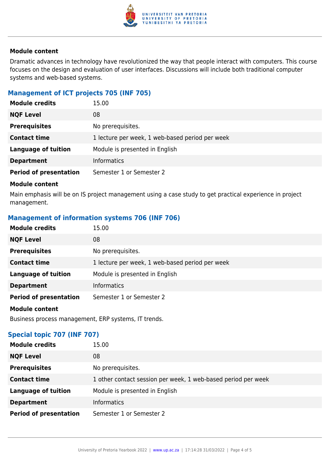

### **Module content**

Dramatic advances in technology have revolutionized the way that people interact with computers. This course focuses on the design and evaluation of user interfaces. Discussions will include both traditional computer systems and web-based systems.

## **Management of ICT projects 705 (INF 705)**

| <b>Module credits</b>         | 15.00                                           |
|-------------------------------|-------------------------------------------------|
| <b>NQF Level</b>              | 08                                              |
| <b>Prerequisites</b>          | No prerequisites.                               |
| <b>Contact time</b>           | 1 lecture per week, 1 web-based period per week |
| <b>Language of tuition</b>    | Module is presented in English                  |
| <b>Department</b>             | <b>Informatics</b>                              |
| <b>Period of presentation</b> | Semester 1 or Semester 2                        |

#### **Module content**

Main emphasis will be on IS project management using a case study to get practical experience in project management.

### **Management of information systems 706 (INF 706)**

| <b>Module credits</b>         | 15.00                                           |
|-------------------------------|-------------------------------------------------|
| <b>NQF Level</b>              | 08                                              |
| <b>Prerequisites</b>          | No prerequisites.                               |
| <b>Contact time</b>           | 1 lecture per week, 1 web-based period per week |
| <b>Language of tuition</b>    | Module is presented in English                  |
| <b>Department</b>             | <b>Informatics</b>                              |
| <b>Period of presentation</b> | Semester 1 or Semester 2                        |
| <b>Module content</b>         |                                                 |

Business process management, ERP systems, IT trends.

### **Special topic 707 (INF 707)**

| <b>Module credits</b>         | 15.00                                                         |
|-------------------------------|---------------------------------------------------------------|
| <b>NQF Level</b>              | 08                                                            |
| <b>Prerequisites</b>          | No prerequisites.                                             |
| <b>Contact time</b>           | 1 other contact session per week, 1 web-based period per week |
| <b>Language of tuition</b>    | Module is presented in English                                |
| <b>Department</b>             | <b>Informatics</b>                                            |
| <b>Period of presentation</b> | Semester 1 or Semester 2                                      |